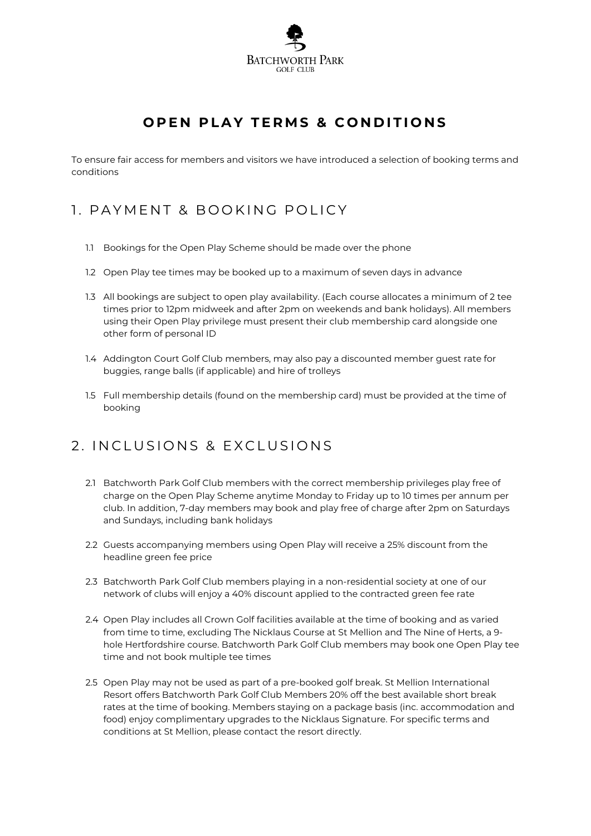

## **OPEN PLAY TERMS & CONDITIONS**

To ensure fair access for members and visitors we have introduced a selection of booking terms and conditions

## 1. PAYMENT & BOOKING POLICY

- 1.1 Bookings for the Open Play Scheme should be made over the phone
- 1.2 Open Play tee times may be booked up to a maximum of seven days in advance
- 1.3 All bookings are subject to open play availability. (Each course allocates a minimum of 2 tee times prior to 12pm midweek and after 2pm on weekends and bank holidays). All members using their Open Play privilege must present their club membership card alongside one other form of personal ID
- 1.4 Addington Court Golf Club members, may also pay a discounted member guest rate for buggies, range balls (if applicable) and hire of trolleys
- 1.5 Full membership details (found on the membership card) must be provided at the time of booking

## 2. INCLUSIONS & EXCLUSIONS

- 2.1 Batchworth Park Golf Club members with the correct membership privileges play free of charge on the Open Play Scheme anytime Monday to Friday up to 10 times per annum per club. In addition, 7-day members may book and play free of charge after 2pm on Saturdays and Sundays, including bank holidays
- 2.2 Guests accompanying members using Open Play will receive a 25% discount from the headline green fee price
- 2.3 Batchworth Park Golf Club members playing in a non-residential society at one of our network of clubs will enjoy a 40% discount applied to the contracted green fee rate
- 2.4 Open Play includes all Crown Golf facilities available at the time of booking and as varied from time to time, excluding The Nicklaus Course at St Mellion and The Nine of Herts, a 9 hole Hertfordshire course. Batchworth Park Golf Club members may book one Open Play tee time and not book multiple tee times
- 2.5 Open Play may not be used as part of a pre-booked golf break. St Mellion International Resort offers Batchworth Park Golf Club Members 20% off the best available short break rates at the time of booking. Members staying on a package basis (inc. accommodation and food) enjoy complimentary upgrades to the Nicklaus Signature. For specific terms and conditions at St Mellion, please contact the resort directly.